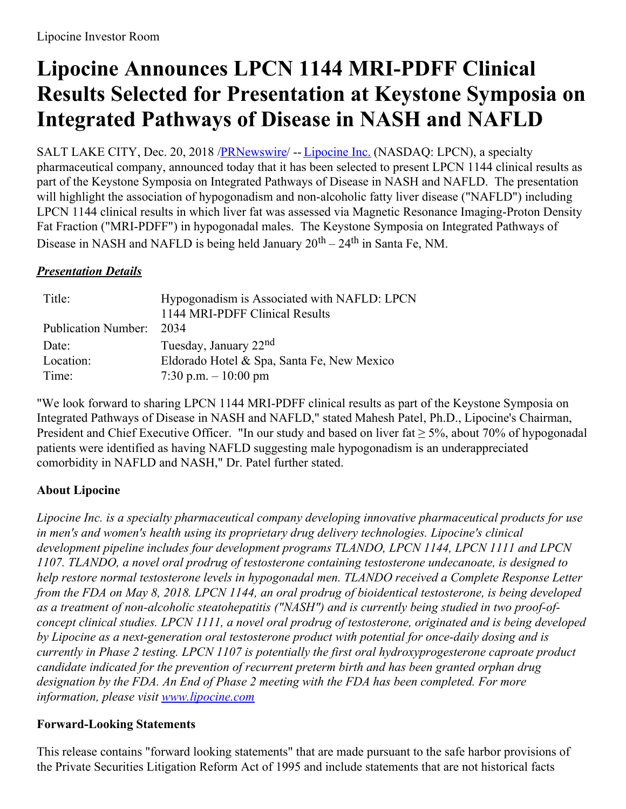# **Lipocine Announces LPCN 1144 MRI-PDFF Clinical Results Selected for Presentation at Keystone Symposia on Integrated Pathways of Disease in NASH and NAFLD**

SALT LAKE CITY, Dec. 20, 2018 [/PRNewswire](http://www.prnewswire.com/)/ -- [Lipocine](https://c212.net/c/link/?t=0&l=en&o=2332461-1&h=2352785804&u=http%3A%2F%2Fwww.lipocine.com%2F&a=Lipocine+Inc.) Inc. (NASDAQ: LPCN), a specialty pharmaceutical company, announced today that it has been selected to present LPCN 1144 clinical results as part of the Keystone Symposia on Integrated Pathways of Disease in NASH and NAFLD. The presentation will highlight the association of hypogonadism and non-alcoholic fatty liver disease ("NAFLD") including LPCN 1144 clinical results in which liver fat was assessed via Magnetic Resonance Imaging-Proton Density Fat Fraction ("MRI-PDFF") in hypogonadal males. The Keystone Symposia on Integrated Pathways of Disease in NASH and NAFLD is being held January  $20^{\text{th}} - 24^{\text{th}}$  in Santa Fe, NM.

### *Presentation Details*

| Title:                   | Hypogonadism is Associated with NAFLD: LPCN<br>1144 MRI-PDFF Clinical Results |
|--------------------------|-------------------------------------------------------------------------------|
| Publication Number: 2034 |                                                                               |
| Date:                    | Tuesday, January 22 <sup>nd</sup>                                             |
| Location:                | Eldorado Hotel & Spa, Santa Fe, New Mexico                                    |
| Time:                    | 7:30 p.m. $-10:00$ pm                                                         |

"We look forward to sharing LPCN 1144 MRI-PDFF clinical results as part of the Keystone Symposia on Integrated Pathways of Disease in NASH and NAFLD," stated Mahesh Patel, Ph.D., Lipocine's Chairman, President and Chief Executive Officer. "In our study and based on liver fat  $\geq$  5%, about 70% of hypogonadal patients were identified as having NAFLD suggesting male hypogonadism is an underappreciated comorbidity in NAFLD and NASH," Dr. Patel further stated.

## **About Lipocine**

*Lipocine Inc. is a specialty pharmaceutical company developing innovative pharmaceutical products for use in men's and women's health using its proprietary drug delivery technologies. Lipocine's clinical development pipeline includes four development programs TLANDO, LPCN 1144, LPCN 1111 and LPCN 1107. TLANDO, a novel oral prodrug of testosterone containing testosterone undecanoate, is designed to help restore normal testosterone levels in hypogonadal men. TLANDO received a Complete Response Letter* from the FDA on May 8, 2018. LPCN 1144, an oral prodrug of bioidentical testosterone, is being developed *as a treatment of non-alcoholic steatohepatitis ("NASH") and is currently being studied in two proof-ofconcept clinical studies. LPCN 1111, a novel oral prodrug of testosterone, originated and is being developed by Lipocine as a next-generation oral testosterone product with potential for once-daily dosing and is currently in Phase 2 testing. LPCN 1107 is potentially the first oral hydroxyprogesterone caproate product candidate indicated for the prevention of recurrent preterm birth and has been granted orphan drug designation by the FDA. An End of Phase 2 meeting with the FDA has been completed. For more information, please visit [www.lipocine.com](http://www.lipocine.com)*

#### **Forward-Looking Statements**

This release contains "forward looking statements" that are made pursuant to the safe harbor provisions of the Private Securities Litigation Reform Act of 1995 and include statements that are not historical facts